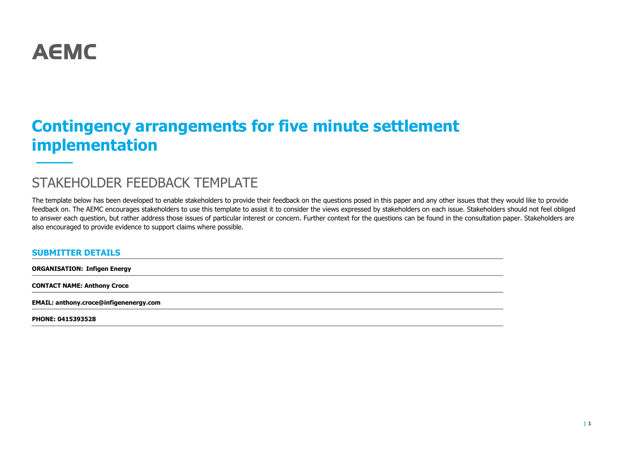

# **Contingency arrangements for five minute settlement implementation**

## STAKEHOLDER FEEDBACK TEMPLATE

The template below has been developed to enable stakeholders to provide their feedback on the questions posed in this paper and any other issues that they would like to provide feedback on. The AEMC encourages stakeholders to use this template to assist it to consider the views expressed by stakeholders on each issue. Stakeholders should not feel obliged to answer each question, but rather address those issues of particular interest or concern. Further context for the questions can be found in the consultation paper. Stakeholders are also encouraged to provide evidence to support claims where possible.

#### **SUBMITTER DETAILS**

**ORGANISATION: Infigen Energy**

**CONTACT NAME: Anthony Croce**

**EMAIL: anthony.croce@infigenenergy.com**

**PHONE: 0415393528**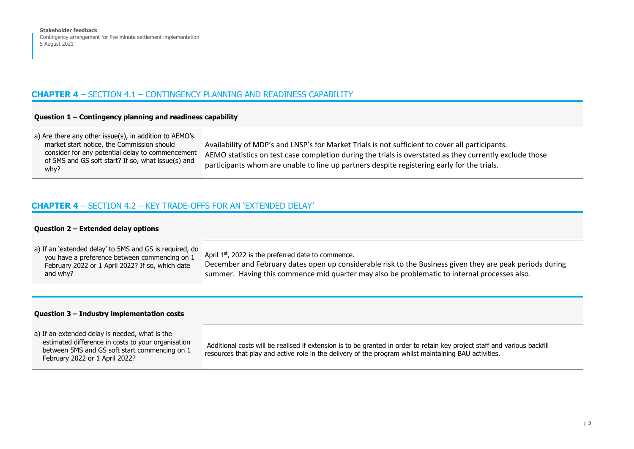## **CHAPTER 4** – SECTION 4.1 – CONTINGENCY PLANNING AND READINESS CAPABILITY

### **Question 1 – Contingency planning and readiness capability**

| a) Are there any other issue(s), in addition to AEMO's     |                                                                                                         |
|------------------------------------------------------------|---------------------------------------------------------------------------------------------------------|
| market start notice, the Commission should                 | Availability of MDP's and LNSP's for Market Trials is not sufficient to cover all participants.         |
| consider for any potential delay to commencement           | AEMO statistics on test case completion during the trials is overstated as they currently exclude those |
| of 5MS and GS soft start? If so, what issue(s) and<br>why? | participants whom are unable to line up partners despite registering early for the trials.              |
|                                                            |                                                                                                         |

## **CHAPTER 4** – SECTION 4.2 – KEY TRADE-OFFS FOR AN 'EXTENDED DELAY'

#### **Question 2 – Extended delay options**

#### **Question 3 – Industry implementation costs**

| a) If an extended delay is needed, what is the<br>estimated difference in costs to your organisation<br>between 5MS and GS soft start commencing on 1<br>February 2022 or 1 April 2022? | Additional costs will be realised if extension is to be granted in order to retain key project staff and various backfill<br>resources that play and active role in the delivery of the program whilst maintaining BAU activities. |
|-----------------------------------------------------------------------------------------------------------------------------------------------------------------------------------------|------------------------------------------------------------------------------------------------------------------------------------------------------------------------------------------------------------------------------------|
|-----------------------------------------------------------------------------------------------------------------------------------------------------------------------------------------|------------------------------------------------------------------------------------------------------------------------------------------------------------------------------------------------------------------------------------|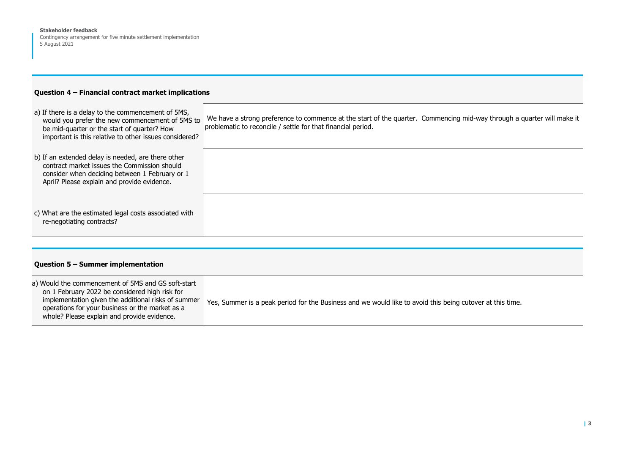**Stakeholder feedback** 

Contingency arrangement for five minute settlement implementation 5 August 2021

## **Question 4 – Financial contract market implications**

| a) If there is a delay to the commencement of 5MS,<br>would you prefer the new commencement of 5MS to<br>be mid-quarter or the start of quarter? How<br>important is this relative to other issues considered? | We have a strong preference to commence at the start of the quarter. Commencing mid-way through a quarter will make it<br>problematic to reconcile / settle for that financial period. |
|----------------------------------------------------------------------------------------------------------------------------------------------------------------------------------------------------------------|----------------------------------------------------------------------------------------------------------------------------------------------------------------------------------------|
| b) If an extended delay is needed, are there other<br>contract market issues the Commission should<br>consider when deciding between 1 February or 1<br>April? Please explain and provide evidence.            |                                                                                                                                                                                        |
| c) What are the estimated legal costs associated with<br>re-negotiating contracts?                                                                                                                             |                                                                                                                                                                                        |

### **Question 5 – Summer implementation**

| a) Would the commencement of 5MS and GS soft-start<br>on 1 February 2022 be considered high risk for<br>implementation given the additional risks of summer<br>operations for your business or the market as a<br>whole? Please explain and provide evidence. | Yes, Summer is a peak period for the Business and we would like to avoid this being cutover at this time. |
|---------------------------------------------------------------------------------------------------------------------------------------------------------------------------------------------------------------------------------------------------------------|-----------------------------------------------------------------------------------------------------------|
|---------------------------------------------------------------------------------------------------------------------------------------------------------------------------------------------------------------------------------------------------------------|-----------------------------------------------------------------------------------------------------------|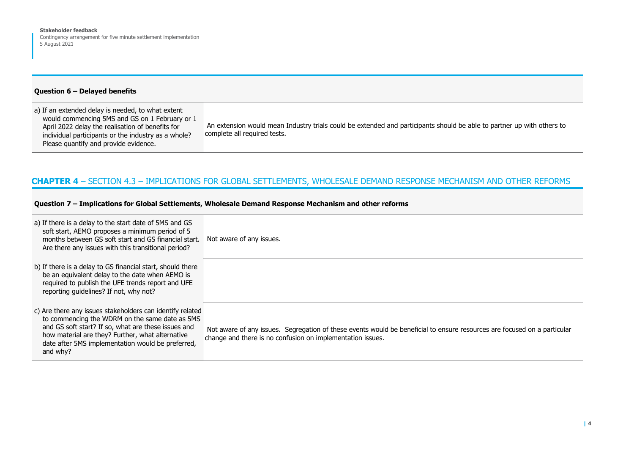**Stakeholder feedback** 

Contingency arrangement for five minute settlement implementation 5 August 2021

#### **Question 6 – Delayed benefits**

| a) If an extended delay is needed, to what extent<br>would commencing 5MS and GS on 1 February or 1     |                                                                                                                                                        |
|---------------------------------------------------------------------------------------------------------|--------------------------------------------------------------------------------------------------------------------------------------------------------|
| April 2022 delay the realisation of benefits for<br>individual participants or the industry as a whole? | An extension would mean Industry trials could be extended and participants should be able to partner up with others to<br>complete all required tests. |
| Please quantify and provide evidence.                                                                   |                                                                                                                                                        |

## **CHAPTER 4** – SECTION 4.3 – IMPLICATIONS FOR GLOBAL SETTLEMENTS, WHOLESALE DEMAND RESPONSE MECHANISM AND OTHER REFORMS

#### **Question 7 – Implications for Global Settlements, Wholesale Demand Response Mechanism and other reforms**

| a) If there is a delay to the start date of 5MS and GS<br>soft start, AEMO proposes a minimum period of 5<br>months between GS soft start and GS financial start.<br>Are there any issues with this transitional period?                                                                | Not aware of any issues.                                                                                                                                                               |
|-----------------------------------------------------------------------------------------------------------------------------------------------------------------------------------------------------------------------------------------------------------------------------------------|----------------------------------------------------------------------------------------------------------------------------------------------------------------------------------------|
| b) If there is a delay to GS financial start, should there<br>be an equivalent delay to the date when AEMO is<br>required to publish the UFE trends report and UFE<br>reporting quidelines? If not, why not?                                                                            |                                                                                                                                                                                        |
| c) Are there any issues stakeholders can identify related<br>to commencing the WDRM on the same date as 5MS<br>and GS soft start? If so, what are these issues and<br>how material are they? Further, what alternative<br>date after 5MS implementation would be preferred,<br>and why? | Not aware of any issues. Segregation of these events would be beneficial to ensure resources are focused on a particular<br>change and there is no confusion on implementation issues. |